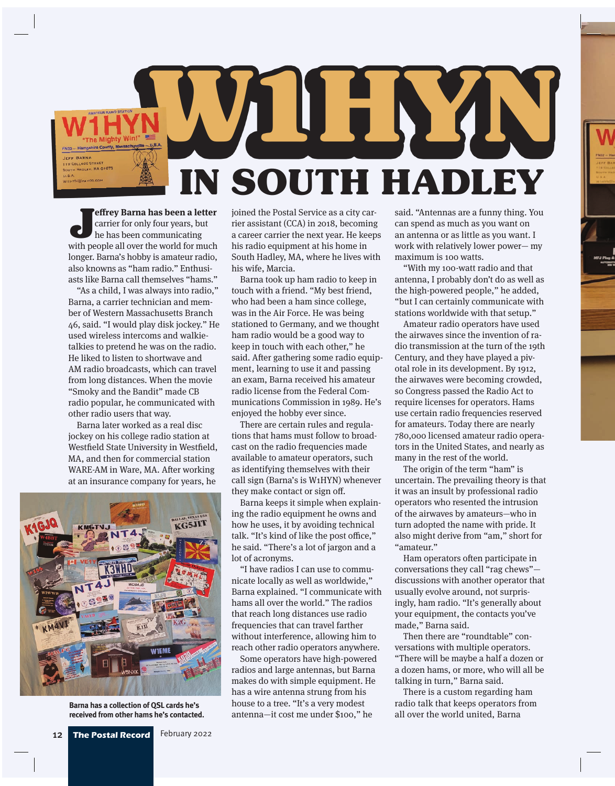**W1HYN in South Hadley**

**Jeffrey Barna has been a letter**<br>
carrier for only four years, but<br>
he has been communicating<br>
with people all over the world for much carrier for only four years, but he has been communicating longer. Barna's hobby is amateur radio, also knowns as "ham radio." Enthusiasts like Barna call themselves "hams."

"As a child, I was always into radio," Barna, a carrier technician and member of Western Massachusetts Branch 46, said. "I would play disk jockey." He used wireless intercoms and walkietalkies to pretend he was on the radio. He liked to listen to shortwave and AM radio broadcasts, which can travel from long distances. When the movie "Smoky and the Bandit" made CB radio popular, he communicated with other radio users that way.

Barna later worked as a real disc jockey on his college radio station at Westfield State University in Westfield, MA, and then for commercial station WARE-AM in Ware, MA. After working at an insurance company for years, he

LLAS, TEXAS USA **KG5JIT WIEME** 

**Barna has a collection of QSL cards he's received from other hams he's contacted.**

joined the Postal Service as a city carrier assistant (CCA) in 2018, becoming a career carrier the next year. He keeps his radio equipment at his home in South Hadley, MA, where he lives with his wife, Marcia.

Barna took up ham radio to keep in touch with a friend. "My best friend, who had been a ham since college, was in the Air Force. He was being stationed to Germany, and we thought ham radio would be a good way to keep in touch with each other," he said. After gathering some radio equipment, learning to use it and passing an exam, Barna received his amateur radio license from the Federal Communications Commission in 1989. He's enjoyed the hobby ever since.

There are certain rules and regulations that hams must follow to broadcast on the radio frequencies made available to amateur operators, such as identifying themselves with their call sign (Barna's is W1HYN) whenever they make contact or sign off.

Barna keeps it simple when explaining the radio equipment he owns and how he uses, it by avoiding technical talk. "It's kind of like the post office," he said. "There's a lot of jargon and a lot of acronyms.

"I have radios I can use to communicate locally as well as worldwide," Barna explained. "I communicate with hams all over the world." The radios that reach long distances use radio frequencies that can travel farther without interference, allowing him to reach other radio operators anywhere.

Some operators have high-powered radios and large antennas, but Barna makes do with simple equipment. He has a wire antenna strung from his house to a tree. "It's a very modest antenna—it cost me under \$100," he

said. "Antennas are a funny thing. You can spend as much as you want on an antenna or as little as you want. I work with relatively lower power— my maximum is 100 watts.

"With my 100-watt radio and that antenna, I probably don't do as well as the high-powered people," he added, "but I can certainly communicate with stations worldwide with that setup."

Amateur radio operators have used the airwaves since the invention of radio transmission at the turn of the 19th Century, and they have played a pivotal role in its development. By 1912, the airwaves were becoming crowded, so Congress passed the Radio Act to require licenses for operators. Hams use certain radio frequencies reserved for amateurs. Today there are nearly 780,000 licensed amateur radio operators in the United States, and nearly as many in the rest of the world.

The origin of the term "ham" is uncertain. The prevailing theory is that it was an insult by professional radio operators who resented the intrusion of the airwaves by amateurs—who in turn adopted the name with pride. It also might derive from "am," short for "amateur."

Ham operators often participate in conversations they call "rag chews" discussions with another operator that usually evolve around, not surprisingly, ham radio. "It's generally about your equipment, the contacts you've made," Barna said.

Then there are "roundtable" conversations with multiple operators. "There will be maybe a half a dozen or a dozen hams, or more, who will all be talking in turn," Barna said.

There is a custom regarding ham radio talk that keeps operators from all over the world united, Barna